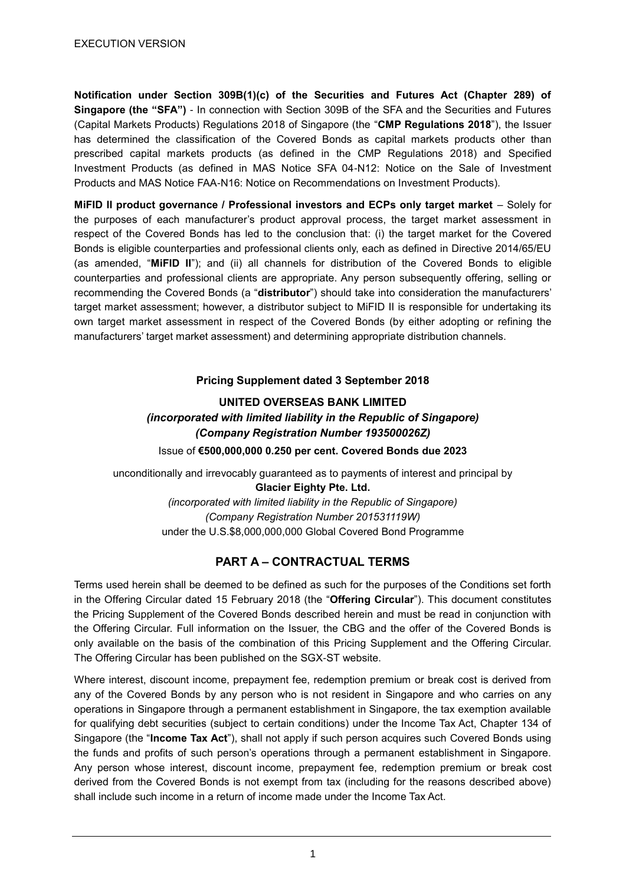**Notification under Section 309B(1)(c) of the Securities and Futures Act (Chapter 289) of Singapore (the "SFA")** - In connection with Section 309B of the SFA and the Securities and Futures (Capital Markets Products) Regulations 2018 of Singapore (the "**CMP Regulations 2018**"), the Issuer has determined the classification of the Covered Bonds as capital markets products other than prescribed capital markets products (as defined in the CMP Regulations 2018) and Specified Investment Products (as defined in MAS Notice SFA 04-N12: Notice on the Sale of Investment Products and MAS Notice FAA-N16: Notice on Recommendations on Investment Products).

**MiFID II product governance / Professional investors and ECPs only target market** – Solely for the purposes of each manufacturer's product approval process, the target market assessment in respect of the Covered Bonds has led to the conclusion that: (i) the target market for the Covered Bonds is eligible counterparties and professional clients only, each as defined in Directive 2014/65/EU (as amended, "**MiFID II**"); and (ii) all channels for distribution of the Covered Bonds to eligible counterparties and professional clients are appropriate. Any person subsequently offering, selling or recommending the Covered Bonds (a "**distributor**") should take into consideration the manufacturers' target market assessment; however, a distributor subject to MiFID II is responsible for undertaking its own target market assessment in respect of the Covered Bonds (by either adopting or refining the manufacturers' target market assessment) and determining appropriate distribution channels.

### **Pricing Supplement dated 3 September 2018**

# **UNITED OVERSEAS BANK LIMITED** *(incorporated with limited liability in the Republic of Singapore) (Company Registration Number 193500026Z)*

Issue of **€500,000,000 0.250 per cent. Covered Bonds due 2023**

unconditionally and irrevocably guaranteed as to payments of interest and principal by **Glacier Eighty Pte. Ltd.**

*(incorporated with limited liability in the Republic of Singapore) (Company Registration Number 201531119W)* under the U.S.\$8,000,000,000 Global Covered Bond Programme

## **PART A – CONTRACTUAL TERMS**

Terms used herein shall be deemed to be defined as such for the purposes of the Conditions set forth in the Offering Circular dated 15 February 2018 (the "**Offering Circular**"). This document constitutes the Pricing Supplement of the Covered Bonds described herein and must be read in conjunction with the Offering Circular. Full information on the Issuer, the CBG and the offer of the Covered Bonds is only available on the basis of the combination of this Pricing Supplement and the Offering Circular. The Offering Circular has been published on the SGX-ST website.

Where interest, discount income, prepayment fee, redemption premium or break cost is derived from any of the Covered Bonds by any person who is not resident in Singapore and who carries on any operations in Singapore through a permanent establishment in Singapore, the tax exemption available for qualifying debt securities (subject to certain conditions) under the Income Tax Act, Chapter 134 of Singapore (the "**Income Tax Act**"), shall not apply if such person acquires such Covered Bonds using the funds and profits of such person's operations through a permanent establishment in Singapore. Any person whose interest, discount income, prepayment fee, redemption premium or break cost derived from the Covered Bonds is not exempt from tax (including for the reasons described above) shall include such income in a return of income made under the Income Tax Act.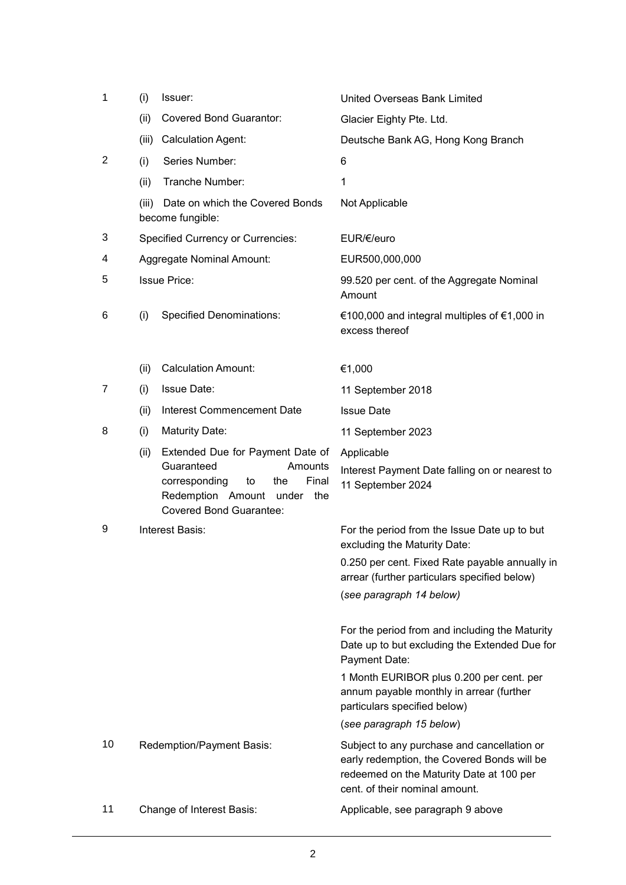| 1  | (i)   | Issuer:                                                                                                                                                                 | United Overseas Bank Limited                                                                                                                                             |
|----|-------|-------------------------------------------------------------------------------------------------------------------------------------------------------------------------|--------------------------------------------------------------------------------------------------------------------------------------------------------------------------|
|    | (ii)  | <b>Covered Bond Guarantor:</b>                                                                                                                                          | Glacier Eighty Pte. Ltd.                                                                                                                                                 |
|    | (iii) | <b>Calculation Agent:</b>                                                                                                                                               | Deutsche Bank AG, Hong Kong Branch                                                                                                                                       |
| 2  | (i)   | Series Number:                                                                                                                                                          | 6                                                                                                                                                                        |
|    | (ii)  | Tranche Number:                                                                                                                                                         | $\mathbf{1}$                                                                                                                                                             |
|    | (iii) | Date on which the Covered Bonds<br>become fungible:                                                                                                                     | Not Applicable                                                                                                                                                           |
| 3  |       | <b>Specified Currency or Currencies:</b>                                                                                                                                | EUR/€/euro                                                                                                                                                               |
| 4  |       | Aggregate Nominal Amount:                                                                                                                                               | EUR500,000,000                                                                                                                                                           |
| 5  |       | <b>Issue Price:</b>                                                                                                                                                     | 99.520 per cent. of the Aggregate Nominal<br>Amount                                                                                                                      |
| 6  | (i)   | <b>Specified Denominations:</b>                                                                                                                                         | €100,000 and integral multiples of €1,000 in<br>excess thereof                                                                                                           |
|    | (ii)  | <b>Calculation Amount:</b>                                                                                                                                              | €1,000                                                                                                                                                                   |
| 7  | (i)   | <b>Issue Date:</b>                                                                                                                                                      | 11 September 2018                                                                                                                                                        |
|    | (ii)  | Interest Commencement Date                                                                                                                                              | <b>Issue Date</b>                                                                                                                                                        |
| 8  | (i)   | <b>Maturity Date:</b>                                                                                                                                                   | 11 September 2023                                                                                                                                                        |
|    | (ii)  | Extended Due for Payment Date of<br>Guaranteed<br>Amounts<br>Final<br>corresponding<br>to<br>the<br>Redemption Amount<br>under<br>the<br><b>Covered Bond Guarantee:</b> | Applicable<br>Interest Payment Date falling on or nearest to<br>11 September 2024                                                                                        |
| 9  |       | Interest Basis:                                                                                                                                                         | For the period from the Issue Date up to but<br>excluding the Maturity Date:                                                                                             |
|    |       |                                                                                                                                                                         | 0.250 per cent. Fixed Rate payable annually in<br>arrear (further particulars specified below)                                                                           |
|    |       |                                                                                                                                                                         | (see paragraph 14 below)                                                                                                                                                 |
|    |       |                                                                                                                                                                         | For the period from and including the Maturity<br>Date up to but excluding the Extended Due for<br>Payment Date:                                                         |
|    |       |                                                                                                                                                                         | 1 Month EURIBOR plus 0.200 per cent. per<br>annum payable monthly in arrear (further<br>particulars specified below)                                                     |
|    |       |                                                                                                                                                                         | (see paragraph 15 below)                                                                                                                                                 |
| 10 |       | Redemption/Payment Basis:                                                                                                                                               | Subject to any purchase and cancellation or<br>early redemption, the Covered Bonds will be<br>redeemed on the Maturity Date at 100 per<br>cent. of their nominal amount. |
| 11 |       | Change of Interest Basis:                                                                                                                                               | Applicable, see paragraph 9 above                                                                                                                                        |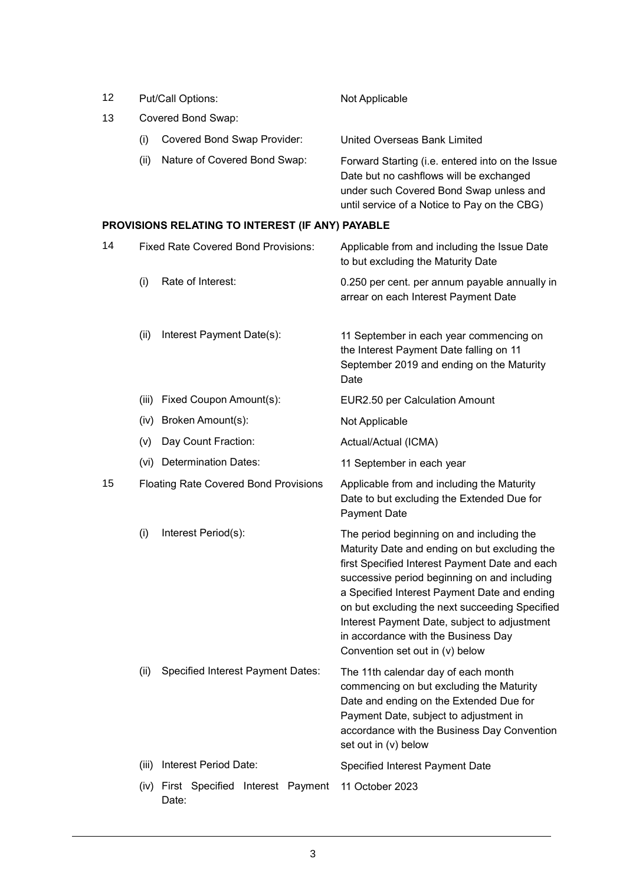| 12 |                                            | Put/Call Options:                                | Not Applicable                                                                                                                                                                                                                                                                                                                                                                                                           |
|----|--------------------------------------------|--------------------------------------------------|--------------------------------------------------------------------------------------------------------------------------------------------------------------------------------------------------------------------------------------------------------------------------------------------------------------------------------------------------------------------------------------------------------------------------|
| 13 |                                            | Covered Bond Swap:                               |                                                                                                                                                                                                                                                                                                                                                                                                                          |
|    | (i)                                        | Covered Bond Swap Provider:                      | United Overseas Bank Limited                                                                                                                                                                                                                                                                                                                                                                                             |
|    | (ii)                                       | Nature of Covered Bond Swap:                     | Forward Starting (i.e. entered into on the Issue<br>Date but no cashflows will be exchanged<br>under such Covered Bond Swap unless and<br>until service of a Notice to Pay on the CBG)                                                                                                                                                                                                                                   |
|    |                                            | PROVISIONS RELATING TO INTEREST (IF ANY) PAYABLE |                                                                                                                                                                                                                                                                                                                                                                                                                          |
| 14 | <b>Fixed Rate Covered Bond Provisions:</b> |                                                  | Applicable from and including the Issue Date<br>to but excluding the Maturity Date                                                                                                                                                                                                                                                                                                                                       |
|    | (i)                                        | Rate of Interest:                                | 0.250 per cent. per annum payable annually in<br>arrear on each Interest Payment Date                                                                                                                                                                                                                                                                                                                                    |
|    | (ii)                                       | Interest Payment Date(s):                        | 11 September in each year commencing on<br>the Interest Payment Date falling on 11<br>September 2019 and ending on the Maturity<br>Date                                                                                                                                                                                                                                                                                  |
|    | (iii)                                      | Fixed Coupon Amount(s):                          | EUR2.50 per Calculation Amount                                                                                                                                                                                                                                                                                                                                                                                           |
|    | (iv)                                       | Broken Amount(s):                                | Not Applicable                                                                                                                                                                                                                                                                                                                                                                                                           |
|    | (v)                                        | Day Count Fraction:                              | Actual/Actual (ICMA)                                                                                                                                                                                                                                                                                                                                                                                                     |
|    |                                            | (vi) Determination Dates:                        | 11 September in each year                                                                                                                                                                                                                                                                                                                                                                                                |
| 15 |                                            | <b>Floating Rate Covered Bond Provisions</b>     | Applicable from and including the Maturity<br>Date to but excluding the Extended Due for<br><b>Payment Date</b>                                                                                                                                                                                                                                                                                                          |
|    | (i)                                        | Interest Period(s):                              | The period beginning on and including the<br>Maturity Date and ending on but excluding the<br>first Specified Interest Payment Date and each<br>successive period beginning on and including<br>a Specified Interest Payment Date and ending<br>on but excluding the next succeeding Specified<br>Interest Payment Date, subject to adjustment<br>in accordance with the Business Day<br>Convention set out in (v) below |
|    | (ii)                                       | Specified Interest Payment Dates:                | The 11th calendar day of each month<br>commencing on but excluding the Maturity<br>Date and ending on the Extended Due for<br>Payment Date, subject to adjustment in<br>accordance with the Business Day Convention<br>set out in (v) below                                                                                                                                                                              |
|    | (iii)                                      | Interest Period Date:                            | Specified Interest Payment Date                                                                                                                                                                                                                                                                                                                                                                                          |
|    | (iv)                                       | First Specified Interest Payment<br>Date:        | 11 October 2023                                                                                                                                                                                                                                                                                                                                                                                                          |

## 3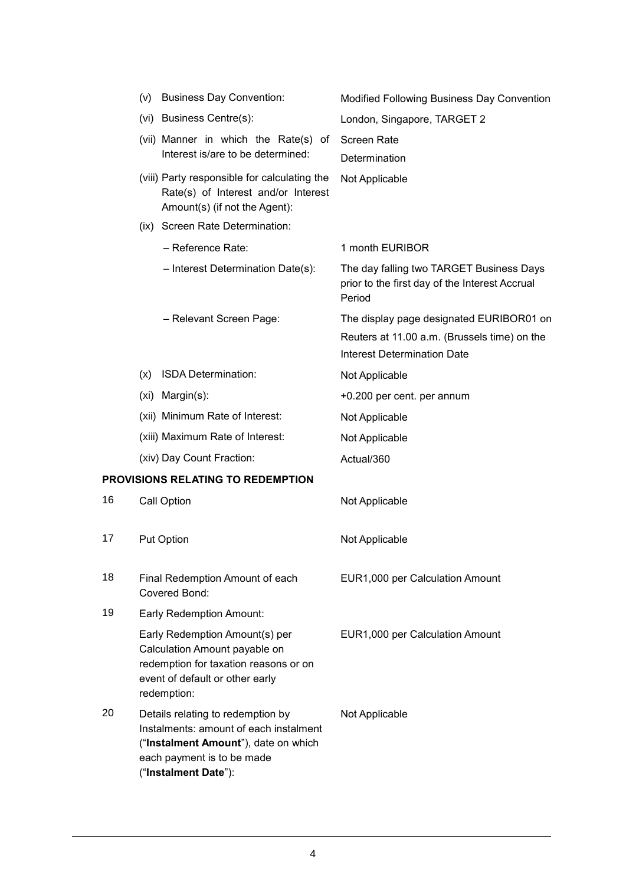|    | (v) | <b>Business Day Convention:</b>                                                                                                                                           | Modified Following Business Day Convention                                                                                     |
|----|-----|---------------------------------------------------------------------------------------------------------------------------------------------------------------------------|--------------------------------------------------------------------------------------------------------------------------------|
|    |     | (vi) Business Centre(s):                                                                                                                                                  | London, Singapore, TARGET 2                                                                                                    |
|    |     | (vii) Manner in which the Rate(s) of<br>Interest is/are to be determined:                                                                                                 | <b>Screen Rate</b><br>Determination                                                                                            |
|    |     | (viii) Party responsible for calculating the<br>Rate(s) of Interest and/or Interest<br>Amount(s) (if not the Agent):                                                      | Not Applicable                                                                                                                 |
|    |     | (ix) Screen Rate Determination:                                                                                                                                           |                                                                                                                                |
|    |     | - Reference Rate:                                                                                                                                                         | 1 month EURIBOR                                                                                                                |
|    |     | - Interest Determination Date(s):                                                                                                                                         | The day falling two TARGET Business Days<br>prior to the first day of the Interest Accrual<br>Period                           |
|    |     | - Relevant Screen Page:                                                                                                                                                   | The display page designated EURIBOR01 on<br>Reuters at 11.00 a.m. (Brussels time) on the<br><b>Interest Determination Date</b> |
|    | (x) | ISDA Determination:                                                                                                                                                       | Not Applicable                                                                                                                 |
|    |     | (xi) Margin(s):                                                                                                                                                           | +0.200 per cent. per annum                                                                                                     |
|    |     | (xii) Minimum Rate of Interest:                                                                                                                                           | Not Applicable                                                                                                                 |
|    |     | (xiii) Maximum Rate of Interest:                                                                                                                                          | Not Applicable                                                                                                                 |
|    |     | (xiv) Day Count Fraction:                                                                                                                                                 | Actual/360                                                                                                                     |
|    |     | PROVISIONS RELATING TO REDEMPTION                                                                                                                                         |                                                                                                                                |
| 16 |     | Call Option                                                                                                                                                               | Not Applicable                                                                                                                 |
| 17 |     | <b>Put Option</b>                                                                                                                                                         | Not Applicable                                                                                                                 |
| 18 |     | Final Redemption Amount of each<br>Covered Bond:                                                                                                                          | EUR1,000 per Calculation Amount                                                                                                |
| 19 |     | <b>Early Redemption Amount:</b>                                                                                                                                           |                                                                                                                                |
|    |     | Early Redemption Amount(s) per<br>Calculation Amount payable on<br>redemption for taxation reasons or on<br>event of default or other early<br>redemption:                | EUR1,000 per Calculation Amount                                                                                                |
| 20 |     | Details relating to redemption by<br>Instalments: amount of each instalment<br>("Instalment Amount"), date on which<br>each payment is to be made<br>("Instalment Date"): | Not Applicable                                                                                                                 |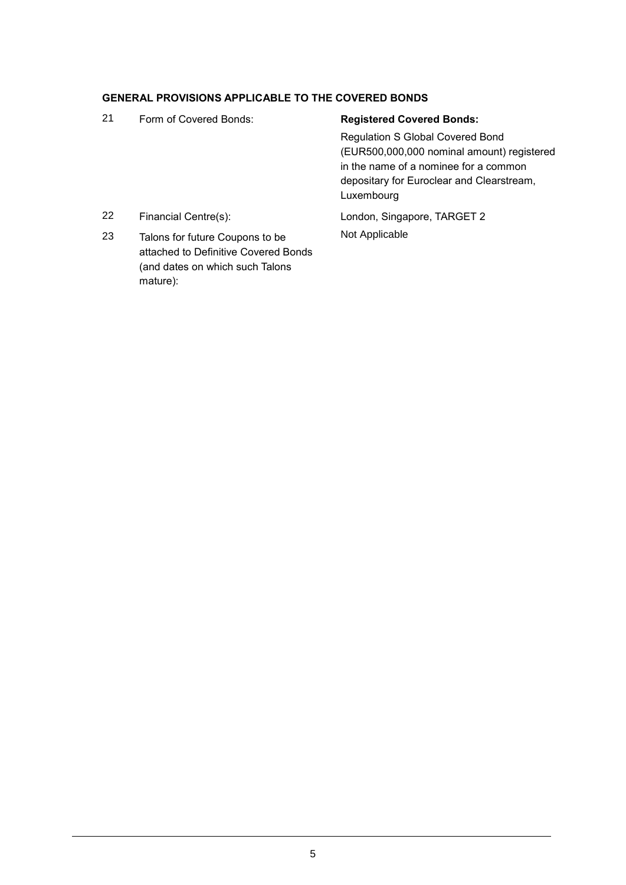# **GENERAL PROVISIONS APPLICABLE TO THE COVERED BONDS**

mature):

| 21 | Form of Covered Bonds:                                                                                     | <b>Registered Covered Bonds:</b>                                                                                                                                                          |
|----|------------------------------------------------------------------------------------------------------------|-------------------------------------------------------------------------------------------------------------------------------------------------------------------------------------------|
|    |                                                                                                            | <b>Regulation S Global Covered Bond</b><br>(EUR500,000,000 nominal amount) registered<br>in the name of a nominee for a common<br>depositary for Euroclear and Clearstream,<br>Luxembourg |
| 22 | Financial Centre(s):                                                                                       | London, Singapore, TARGET 2                                                                                                                                                               |
| 23 | Talons for future Coupons to be<br>attached to Definitive Covered Bonds<br>(and dates on which such Talons | Not Applicable                                                                                                                                                                            |

5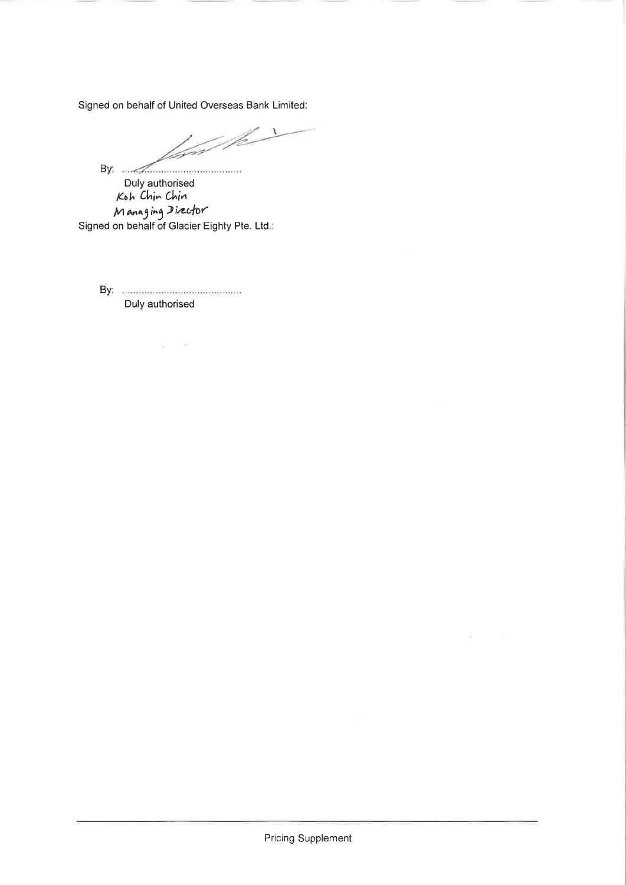Signed on behalf of United Overseas Bank Limited:

 $\overline{1}$ /c l fər

By:  $\frac{1}{2}$ Duly authorised<br>Koh Chin Chin Managing Director<br>Signed on behalf of Glacier Eighty Pte. Ltd.:

 $\overline{\Delta} = 0.001$ 

Duly authorised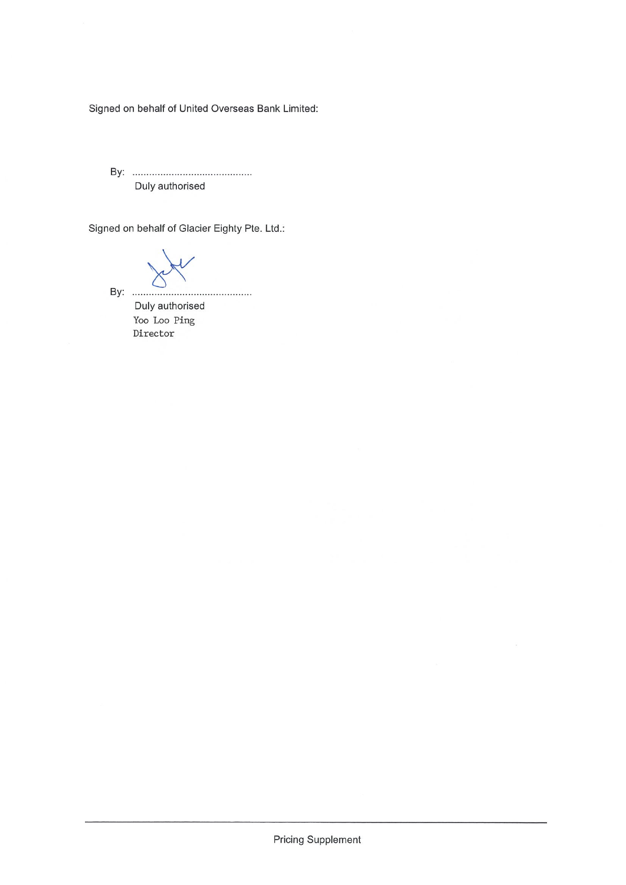Signed on behalf of United Overseas Bank Limited:

Duly authorised

Signed on behalf of Glacier Eighty Pte. Ltd.:

Duly authorised Yoo Loo Ping  $\mbox{Directory}$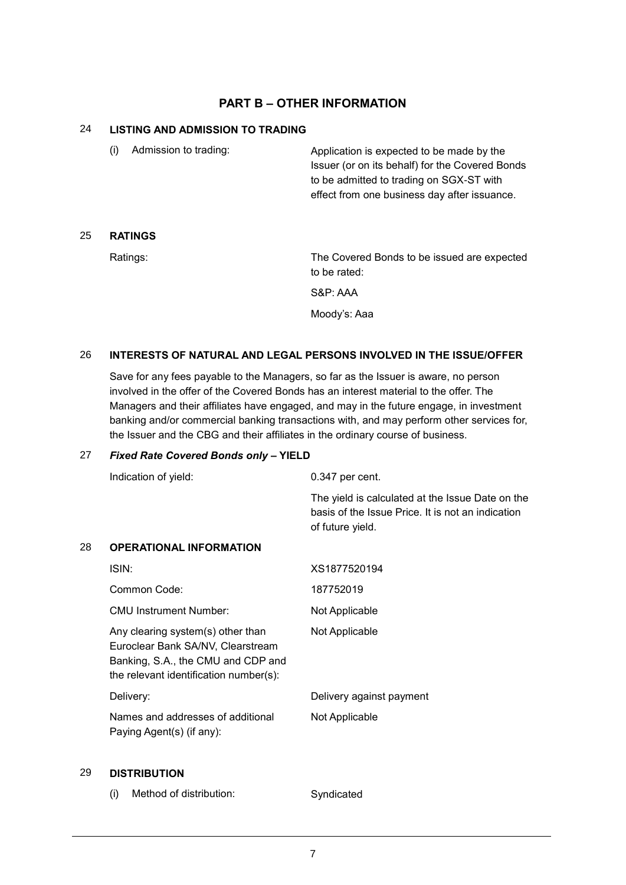## **PART B – OTHER INFORMATION**

## 24 **LISTING AND ADMISSION TO TRADING**

(i) Admission to trading: Application is expected to be made by the Issuer (or on its behalf) for the Covered Bonds to be admitted to trading on SGX-ST with effect from one business day after issuance.

## 25 **RATINGS**

Ratings: The Covered Bonds to be issued are expected to be rated:

S&P: AAA

Moody's: Aaa

## 26 **INTERESTS OF NATURAL AND LEGAL PERSONS INVOLVED IN THE ISSUE/OFFER**

Save for any fees payable to the Managers, so far as the Issuer is aware, no person involved in the offer of the Covered Bonds has an interest material to the offer. The Managers and their affiliates have engaged, and may in the future engage, in investment banking and/or commercial banking transactions with, and may perform other services for, the Issuer and the CBG and their affiliates in the ordinary course of business.

#### 27 *Fixed Rate Covered Bonds only* **– YIELD**

|    | Indication of yield:                                                                                                                                   | 0.347 per cent.                                                                                                           |
|----|--------------------------------------------------------------------------------------------------------------------------------------------------------|---------------------------------------------------------------------------------------------------------------------------|
|    |                                                                                                                                                        | The yield is calculated at the Issue Date on the<br>basis of the Issue Price. It is not an indication<br>of future yield. |
| 28 | <b>OPERATIONAL INFORMATION</b>                                                                                                                         |                                                                                                                           |
|    | ISIN:                                                                                                                                                  | XS1877520194                                                                                                              |
|    | Common Code:                                                                                                                                           | 187752019                                                                                                                 |
|    | <b>CMU Instrument Number:</b>                                                                                                                          | Not Applicable                                                                                                            |
|    | Any clearing system(s) other than<br>Euroclear Bank SA/NV, Clearstream<br>Banking, S.A., the CMU and CDP and<br>the relevant identification number(s): | Not Applicable                                                                                                            |
|    | Delivery:                                                                                                                                              | Delivery against payment                                                                                                  |
|    | Names and addresses of additional<br>Paying Agent(s) (if any):                                                                                         | Not Applicable                                                                                                            |

#### 29 **DISTRIBUTION**

(i) Method of distribution: Syndicated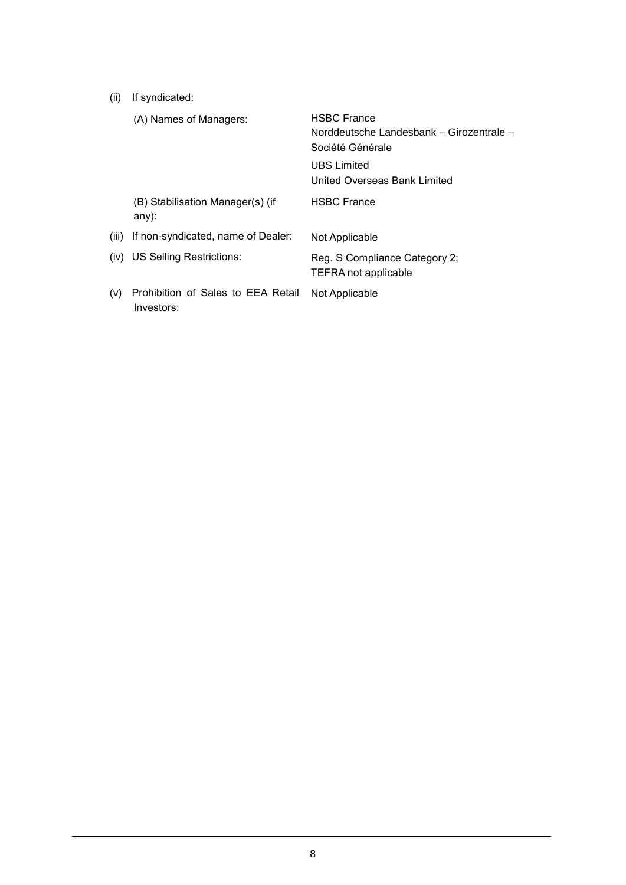(ii) If syndicated:

|       | (A) Names of Managers:                           | <b>HSBC France</b><br>Norddeutsche Landesbank - Girozentrale -<br>Société Générale |
|-------|--------------------------------------------------|------------------------------------------------------------------------------------|
|       |                                                  | UBS Limited<br>United Overseas Bank Limited                                        |
|       | (B) Stabilisation Manager(s) (if<br>$any)$ :     | <b>HSBC France</b>                                                                 |
| (iii) | If non-syndicated, name of Dealer:               | Not Applicable                                                                     |
|       | (iv) US Selling Restrictions:                    | Reg. S Compliance Category 2;<br><b>TEFRA not applicable</b>                       |
| (v)   | Prohibition of Sales to EEA Retail<br>Investors: | Not Applicable                                                                     |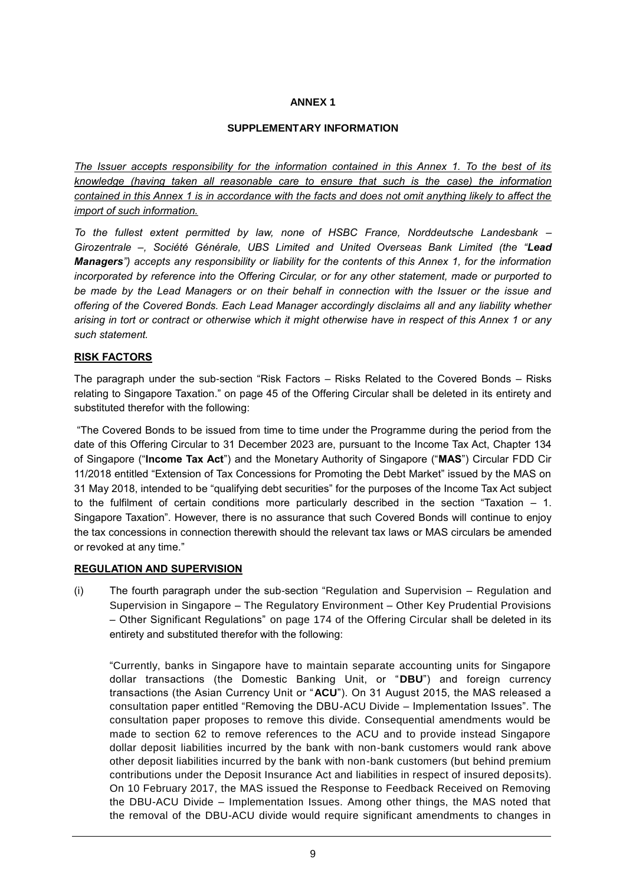## **ANNEX 1**

### **SUPPLEMENTARY INFORMATION**

*The Issuer accepts responsibility for the information contained in this Annex 1. To the best of its knowledge (having taken all reasonable care to ensure that such is the case) the information contained in this Annex 1 is in accordance with the facts and does not omit anything likely to affect the import of such information.*

*To the fullest extent permitted by law, none of HSBC France, Norddeutsche Landesbank – Girozentrale –, Société Générale, UBS Limited and United Overseas Bank Limited (the "Lead Managers") accepts any responsibility or liability for the contents of this Annex 1, for the information incorporated by reference into the Offering Circular, or for any other statement, made or purported to be made by the Lead Managers or on their behalf in connection with the Issuer or the issue and offering of the Covered Bonds. Each Lead Manager accordingly disclaims all and any liability whether arising in tort or contract or otherwise which it might otherwise have in respect of this Annex 1 or any such statement.*

### **RISK FACTORS**

The paragraph under the sub-section "Risk Factors – Risks Related to the Covered Bonds – Risks relating to Singapore Taxation." on page 45 of the Offering Circular shall be deleted in its entirety and substituted therefor with the following:

"The Covered Bonds to be issued from time to time under the Programme during the period from the date of this Offering Circular to 31 December 2023 are, pursuant to the Income Tax Act, Chapter 134 of Singapore ("**Income Tax Act**") and the Monetary Authority of Singapore ("**MAS**") Circular FDD Cir 11/2018 entitled "Extension of Tax Concessions for Promoting the Debt Market" issued by the MAS on 31 May 2018, intended to be "qualifying debt securities" for the purposes of the Income Tax Act subject to the fulfilment of certain conditions more particularly described in the section "Taxation – 1. Singapore Taxation". However, there is no assurance that such Covered Bonds will continue to enjoy the tax concessions in connection therewith should the relevant tax laws or MAS circulars be amended or revoked at any time."

#### **REGULATION AND SUPERVISION**

(i) The fourth paragraph under the sub-section "Regulation and Supervision – Regulation and Supervision in Singapore – The Regulatory Environment – Other Key Prudential Provisions – Other Significant Regulations" on page 174 of the Offering Circular shall be deleted in its entirety and substituted therefor with the following:

"Currently, banks in Singapore have to maintain separate accounting units for Singapore dollar transactions (the Domestic Banking Unit, or "**DBU**") and foreign currency transactions (the Asian Currency Unit or "**ACU**"). On 31 August 2015, the MAS released a consultation paper entitled "Removing the DBU-ACU Divide – Implementation Issues". The consultation paper proposes to remove this divide. Consequential amendments would be made to section 62 to remove references to the ACU and to provide instead Singapore dollar deposit liabilities incurred by the bank with non-bank customers would rank above other deposit liabilities incurred by the bank with non-bank customers (but behind premium contributions under the Deposit Insurance Act and liabilities in respect of insured deposits). On 10 February 2017, the MAS issued the Response to Feedback Received on Removing the DBU-ACU Divide – Implementation Issues. Among other things, the MAS noted that the removal of the DBU-ACU divide would require significant amendments to changes in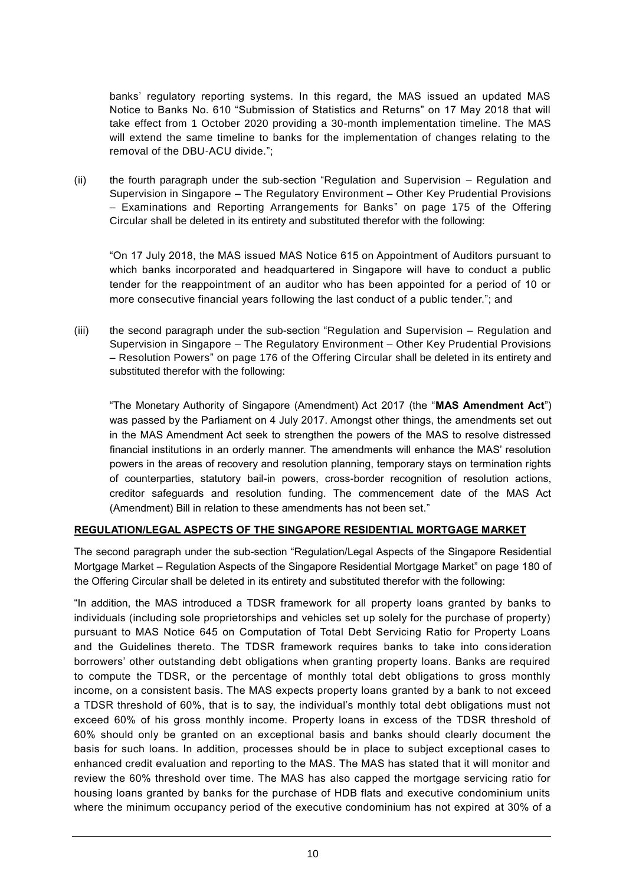banks' regulatory reporting systems. In this regard, the MAS issued an updated MAS Notice to Banks No. 610 "Submission of Statistics and Returns" on 17 May 2018 that will take effect from 1 October 2020 providing a 30-month implementation timeline. The MAS will extend the same timeline to banks for the implementation of changes relating to the removal of the DBU-ACU divide.";

(ii) the fourth paragraph under the sub-section "Regulation and Supervision – Regulation and Supervision in Singapore – The Regulatory Environment – Other Key Prudential Provisions – Examinations and Reporting Arrangements for Banks" on page 175 of the Offering Circular shall be deleted in its entirety and substituted therefor with the following:

"On 17 July 2018, the MAS issued MAS Notice 615 on Appointment of Auditors pursuant to which banks incorporated and headquartered in Singapore will have to conduct a public tender for the reappointment of an auditor who has been appointed for a period of 10 or more consecutive financial years following the last conduct of a public tender."; and

(iii) the second paragraph under the sub-section "Regulation and Supervision – Regulation and Supervision in Singapore – The Regulatory Environment – Other Key Prudential Provisions – Resolution Powers" on page 176 of the Offering Circular shall be deleted in its entirety and substituted therefor with the following:

"The Monetary Authority of Singapore (Amendment) Act 2017 (the "**MAS Amendment Act**") was passed by the Parliament on 4 July 2017. Amongst other things, the amendments set out in the MAS Amendment Act seek to strengthen the powers of the MAS to resolve distressed financial institutions in an orderly manner. The amendments will enhance the MAS' resolution powers in the areas of recovery and resolution planning, temporary stays on termination rights of counterparties, statutory bail-in powers, cross-border recognition of resolution actions, creditor safeguards and resolution funding. The commencement date of the MAS Act (Amendment) Bill in relation to these amendments has not been set."

## **REGULATION/LEGAL ASPECTS OF THE SINGAPORE RESIDENTIAL MORTGAGE MARKET**

The second paragraph under the sub-section "Regulation/Legal Aspects of the Singapore Residential Mortgage Market – Regulation Aspects of the Singapore Residential Mortgage Market" on page 180 of the Offering Circular shall be deleted in its entirety and substituted therefor with the following:

"In addition, the MAS introduced a TDSR framework for all property loans granted by banks to individuals (including sole proprietorships and vehicles set up solely for the purchase of property) pursuant to MAS Notice 645 on Computation of Total Debt Servicing Ratio for Property Loans and the Guidelines thereto. The TDSR framework requires banks to take into cons ideration borrowers' other outstanding debt obligations when granting property loans. Banks are required to compute the TDSR, or the percentage of monthly total debt obligations to gross monthly income, on a consistent basis. The MAS expects property loans granted by a bank to not exceed a TDSR threshold of 60%, that is to say, the individual's monthly total debt obligations must not exceed 60% of his gross monthly income. Property loans in excess of the TDSR threshold of 60% should only be granted on an exceptional basis and banks should clearly document the basis for such loans. In addition, processes should be in place to subject exceptional cases to enhanced credit evaluation and reporting to the MAS. The MAS has stated that it will monitor and review the 60% threshold over time. The MAS has also capped the mortgage servicing ratio for housing loans granted by banks for the purchase of HDB flats and executive condominium units where the minimum occupancy period of the executive condominium has not expired at 30% of a